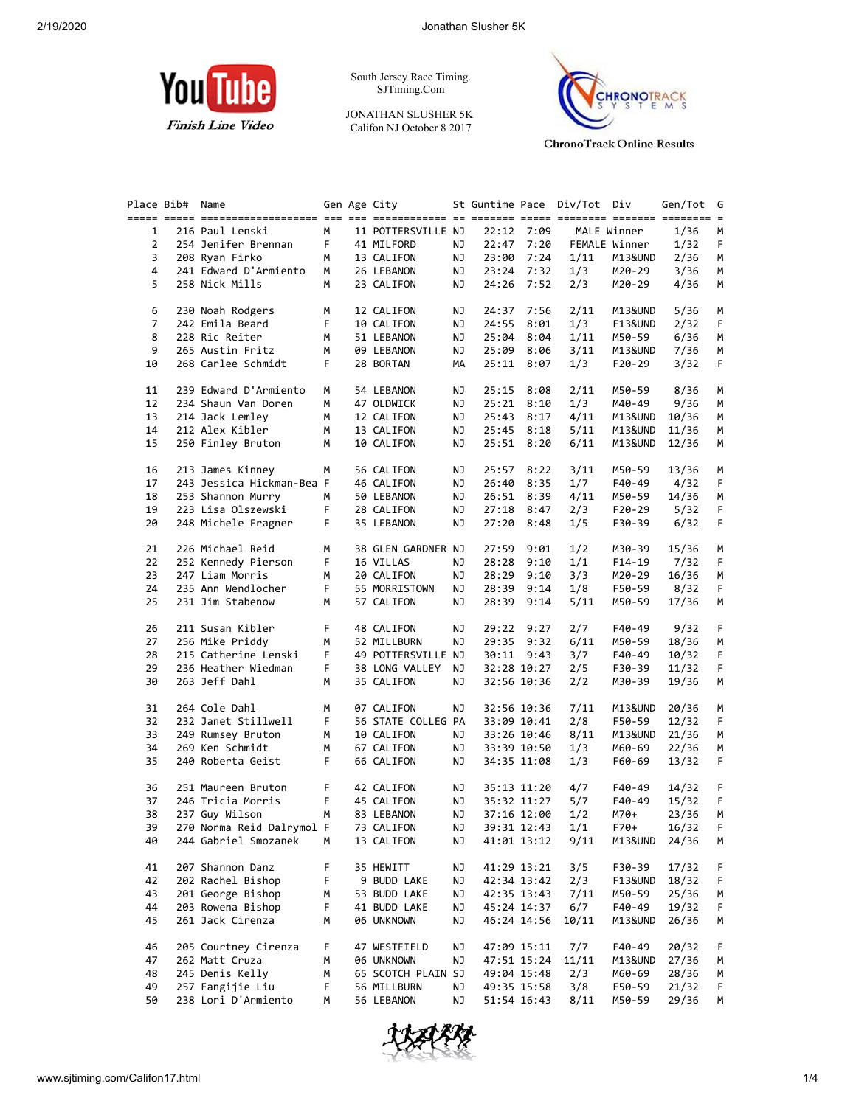

South Jersey Race Timing. SJTiming.Com

JONATHAN SLUSHER 5K Califon NJ October 8 2017



**ChronoTrack Online Results** 

| Place Bib#     | Name                                 |             | Gen Age City       |           |            |              | St Guntime Pace Div/Tot Div |               | Gen/Tot   | G  |
|----------------|--------------------------------------|-------------|--------------------|-----------|------------|--------------|-----------------------------|---------------|-----------|----|
|                |                                      |             |                    |           |            |              |                             |               |           |    |
| $\mathbf{1}$   | 216 Paul Lenski                      | М           | 11 POTTERSVILLE NJ |           | 22:12 7:09 |              |                             | MALE Winner   | 1/36      | м  |
| $\overline{2}$ | 254 Jenifer Brennan                  | F.          | 41 MILFORD         | NJ        |            | 22:47 7:20   |                             | FEMALE Winner | 1/32      | F. |
| 3              | 208 Ryan Firko                       | М           | 13 CALIFON         | NJ        | 23:00      | 7:24         | 1/11                        | M13&UND       | 2/36      | М  |
| 4              | 241 Edward D'Armiento                | М           | 26 LEBANON         | ΝJ        |            | 23:24 7:32   | 1/3                         | M20-29        | 3/36      | М  |
|                | 258 Nick Mills                       |             |                    |           |            |              |                             |               |           |    |
| 5              |                                      | М           | 23 CALIFON         | ΝJ        |            | 24:26 7:52   | 2/3                         | M20-29        | 4/36      | М  |
| 6              | 230 Noah Rodgers                     | м           | 12 CALIFON         | ΝJ        |            | 24:37 7:56   | 2/11                        | M13&UND       | 5/36      | м  |
| $\overline{7}$ | 242 Emila Beard                      | F           | 10 CALIFON         | ΝJ        | 24:55      | 8:01         | 1/3                         | F13&UND       | 2/32      | F  |
| 8              | 228 Ric Reiter                       | М           | 51 LEBANON         | ΝJ        | 25:04      | 8:04         | 1/11                        | M50-59        | 6/36      | М  |
|                |                                      |             |                    |           |            |              |                             |               |           |    |
| 9              | 265 Austin Fritz                     | М           | 09 LEBANON         | ΝJ        |            | 25:09 8:06   | 3/11                        | M13&UND       | 7/36      | М  |
| 10             | 268 Carlee Schmidt                   | F.          | 28 BORTAN          | МA        |            | 25:11 8:07   | 1/3                         | F20-29        | 3/32      | F. |
| 11             | 239 Edward D'Armiento                | М           | 54 LEBANON         | ΝJ        | 25:15      | 8:08         | 2/11                        | M50-59        | 8/36      | М  |
| 12             | 234 Shaun Van Doren                  | М           | 47 OLDWICK         | ΝJ        |            | 25:21 8:10   | 1/3                         | M40-49        | 9/36      | М  |
| 13             | 214 Jack Lemley                      | М           | 12 CALIFON         | ΝJ        | 25:43      | 8:17         | 4/11                        | M13&UND       | 10/36     | М  |
| 14             | 212 Alex Kibler                      |             |                    |           |            |              |                             |               |           |    |
|                |                                      | М           | 13 CALIFON         | ΝJ        |            | 25:45 8:18   | 5/11                        | M13&UND       | 11/36     | М  |
| 15             | 250 Finley Bruton                    | м           | 10 CALIFON         | ΝJ        |            | 25:51 8:20   | 6/11                        | M13&UND       | 12/36     | М  |
| 16             | 213 James Kinney                     | м           | 56 CALIFON         | ΝJ        |            | 25:57 8:22   | 3/11                        | M50-59        | 13/36     | м  |
| 17             | 243 Jessica Hickman-Bea F            |             | 46 CALIFON         | ΝJ        | 26:40      | 8:35         | 1/7                         | F40-49        | 4/32      | F  |
| 18             | 253 Shannon Murry                    | М           | 50 LEBANON         | ΝJ        |            | 26:51 8:39   | 4/11                        | M50-59        | 14/36     | М  |
| 19             | 223 Lisa Olszewski                   | F.          | 28 CALIFON         | ΝJ        |            | $27:18$ 8:47 | 2/3                         | F20-29        | 5/32      | F. |
|                |                                      |             |                    |           |            |              |                             |               |           |    |
| 20             | 248 Michele Fragner                  | F.          | 35 LEBANON         | ΝJ        |            | 27:20 8:48   | 1/5                         | F30-39        | 6/32      | F. |
| 21             | 226 Michael Reid                     | М           | 38 GLEN GARDNER NJ |           | 27:59      | 9:01         | 1/2                         | M30-39        | 15/36     | М  |
| 22             | 252 Kennedy Pierson                  | F           | 16 VILLAS          | ΝJ        | 28:28      | 9:10         | 1/1                         | F14-19        | 7/32      | F. |
| 23             | 247 Liam Morris                      | М           | 20 CALIFON         | ΝJ        | 28:29      | 9:10         | 3/3                         | M20-29        | 16/36     | М  |
|                | 235 Ann Wendlocher                   |             |                    |           |            |              |                             |               |           |    |
| 24             |                                      | F           | 55 MORRISTOWN      | ΝJ        |            | 28:39 9:14   | 1/8                         | F50-59        | 8/32      | F. |
| 25             | 231 Jim Stabenow                     | М           | 57 CALIFON         | ΝJ        |            | 28:39 9:14   | 5/11                        | M50-59        | 17/36     | М  |
| 26             | 211 Susan Kibler                     | F.          | 48 CALIFON         | ΝJ        |            | 29:22 9:27   | 2/7                         | F40-49        | 9/32      | F. |
| 27             | 256 Mike Priddy                      | М           | 52 MILLBURN        | ΝJ        |            | 29:35 9:32   | 6/11                        | M50-59        | 18/36     | М  |
| 28             | 215 Catherine Lenski                 | F.          | 49 POTTERSVILLE NJ |           |            | 30:11 9:43   | 3/7                         | F40-49        | 10/32     | F. |
|                |                                      |             |                    |           |            |              |                             |               |           |    |
| 29             | 236 Heather Wiedman                  | F.          | 38 LONG VALLEY     | NJ        |            | 32:28 10:27  | 2/5                         | F30-39        | 11/32     | F. |
| 30             | 263 Jeff Dahl                        | М           | 35 CALIFON         | ΝJ        |            | 32:56 10:36  | 2/2                         | M30-39        | 19/36     | М  |
| 31             | 264 Cole Dahl                        | М           | 07 CALIFON         | ΝJ        |            | 32:56 10:36  | 7/11                        | M13&UND       | 20/36     | М  |
| 32             | 232 Janet Stillwell                  | F.          | 56 STATE COLLEG PA |           |            | 33:09 10:41  | 2/8                         | F50-59        | 12/32     | F. |
|                | 249 Rumsey Bruton                    |             |                    |           |            |              |                             |               |           |    |
| 33             |                                      | М           | 10 CALIFON         | NJ        |            | 33:26 10:46  | 8/11                        | M13&UND       | 21/36     | М  |
| 34             | 269 Ken Schmidt                      | М           | 67 CALIFON         | ΝJ        |            | 33:39 10:50  | 1/3                         | M60-69        | 22/36     | М  |
| 35             | 240 Roberta Geist                    | F.          | 66 CALIFON         | ΝJ        |            | 34:35 11:08  | 1/3                         | F60-69        | 13/32     | F. |
| 36             | 251 Maureen Bruton                   | F.          | 42 CALIFON         | ΝJ        |            | 35:13 11:20  | 4/7                         | F40-49        | 14/32     | F. |
| 37             | 246 Tricia Morris                    | $\mathsf F$ | 45 CALIFON         | ΝJ        |            | 35:32 11:27  | 5/7                         | F40-49        | 15/32     | F. |
| 38             | 237 Guy Wilson                       | M           | 83 LEBANON         | ΝJ        |            | 37:16 12:00  | 1/2                         | M70+          | 23/36     | М  |
|                | 270 Norma Reid Dalrymol F 73 CALIFON |             |                    |           |            | 39:31 12:43  |                             |               |           |    |
| 39             |                                      |             |                    | <b>NJ</b> |            |              | 1/1                         | F70+          | $16/32$ F |    |
| 40             | 244 Gabriel Smozanek                 | М           | 13 CALIFON         | ΝJ        |            | 41:01 13:12  | 9/11                        | M13&UND       | 24/36     | м  |
| 41             | 207 Shannon Danz                     | F           | 35 HEWITT          | ΝJ        |            | 41:29 13:21  | 3/5                         | F30-39        | 17/32     | F. |
| 42             | 202 Rachel Bishop                    | F           | 9 BUDD LAKE        | ΝJ        |            | 42:34 13:42  | 2/3                         | F13&UND       | 18/32     | F  |
| 43             | 201 George Bishop                    | м           | 53 BUDD LAKE       | ΝJ        |            | 42:35 13:43  | 7/11                        | M50-59        | 25/36     | м  |
| 44             | 203 Rowena Bishop                    | F           | 41 BUDD LAKE       | ΝJ        |            | 45:24 14:37  | 6/7                         | F40-49        | 19/32     | F  |
| 45             | 261 Jack Cirenza                     | м           | 06 UNKNOWN         | ΝJ        |            | 46:24 14:56  | 10/11                       | M13&UND       | 26/36     | M  |
|                |                                      |             |                    |           |            |              |                             |               |           |    |
| 46             | 205 Courtney Cirenza                 | F.          | 47 WESTFIELD       | ΝJ        |            | 47:09 15:11  | 7/7                         | F40-49        | 20/32     | F. |
| 47             | 262 Matt Cruza                       | м           | 06 UNKNOWN         | ΝJ        |            | 47:51 15:24  | 11/11                       | M13&UND       | 27/36     | M  |
| 48             | 245 Denis Kelly                      | м           | 65 SCOTCH PLAIN SJ |           |            | 49:04 15:48  | 2/3                         | M60-69        | 28/36     | м  |
| 49             | 257 Fangijie Liu                     | F           | 56 MILLBURN        | ΝJ        |            | 49:35 15:58  | 3/8                         | F50-59        | 21/32     | F. |
| 50             | 238 Lori D'Armiento                  | М           | 56 LEBANON         | ΝJ        |            | 51:54 16:43  | 8/11                        | M50-59        | 29/36     | M  |
|                |                                      |             |                    |           |            |              |                             |               |           |    |

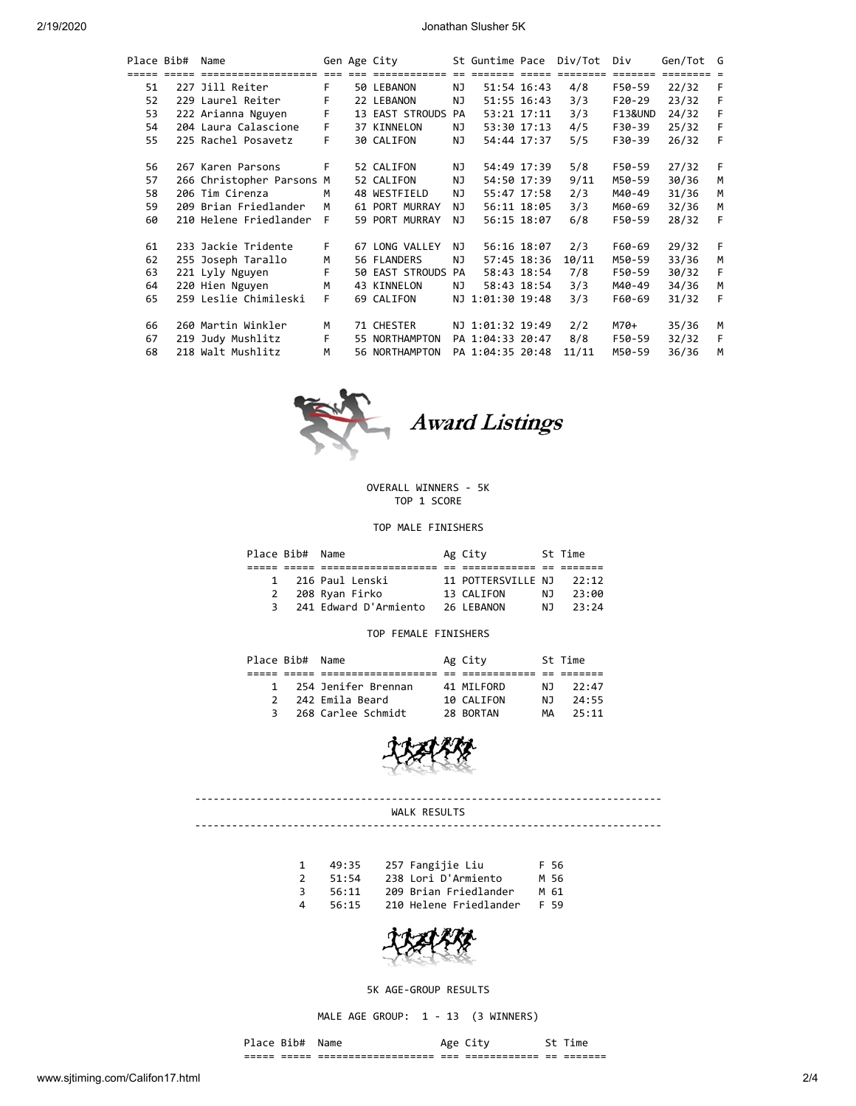2/19/2020 Jonathan Slusher 5K

| Place Bib# | Name                      |    | Gen Age City       |     |                  |             | St Guntime Pace Div/Tot | Div     | Gen/Tot G |     |
|------------|---------------------------|----|--------------------|-----|------------------|-------------|-------------------------|---------|-----------|-----|
|            |                           |    |                    |     |                  |             | escesse esses essesses  |         |           |     |
| 51         | 227 Jill Reiter           | F. | 50 LEBANON         | NJ  |                  | 51:54 16:43 | 4/8                     | F50-59  | 22/32     | - F |
| 52         | 229 Laurel Reiter         | F  | 22 LEBANON         | NJ  |                  | 51:55 16:43 | 3/3                     | F20-29  | 23/32     | - F |
| 53         | 222 Arianna Nguyen        | F  | 13 EAST STROUDS PA |     |                  | 53:21 17:11 | 3/3                     | F13&UND | 24/32     | - F |
| 54         | 204 Laura Calascione      | F. | 37 KINNELON        | ΝJ  |                  | 53:30 17:13 | 4/5                     | F30-39  | 25/32     | -F  |
| 55         | 225 Rachel Posavetz       | F. | 30 CALIFON         | ΝJ  |                  | 54:44 17:37 | 5/5                     | F30-39  | 26/32     | -F  |
| 56         | 267 Karen Parsons         | F. | 52 CALIFON         | ΝJ  |                  | 54:49 17:39 | 5/8                     | F50-59  | 27/32     | - F |
|            |                           |    |                    |     |                  |             |                         |         |           |     |
| 57         | 266 Christopher Parsons M |    | 52 CALIFON         | ΝJ  |                  | 54:50 17:39 | 9/11                    | M50-59  | 30/36     | M   |
| 58         | 206 Tim Cirenza           | M  | 48 WESTFIELD       | ΝJ  |                  | 55:47 17:58 | 2/3                     | M40-49  | 31/36     | M   |
| 59         | 209 Brian Friedlander     | M  | 61 PORT MURRAY     | NJ  |                  | 56:11 18:05 | 3/3                     | M60-69  | 32/36     | M   |
| 60         | 210 Helene Friedlander F  |    | 59 PORT MURRAY     | NJ. |                  | 56:15 18:07 | 6/8                     | F50-59  | 28/32     | F   |
| 61         | 233 Jackie Tridente       | F. | 67 LONG VALLEY     | NJ. | 56:16 18:07      |             | 2/3                     | F60-69  | 29/32     | -F  |
| 62         | 255 Joseph Tarallo        | M  | 56 FLANDERS        | ΝJ  |                  | 57:45 18:36 | 10/11                   | M50-59  | 33/36     | M   |
| 63         | 221 Lyly Nguyen           | F  | 50 EAST STROUDS PA |     |                  | 58:43 18:54 | 7/8                     | F50-59  | 30/32     | - F |
| 64         | 220 Hien Nguyen           | M  | 43 KINNELON        | ΝJ  |                  | 58:43 18:54 | 3/3                     | M40-49  | 34/36     | M   |
| 65         | 259 Leslie Chimileski     | F. | 69 CALIFON         |     | NJ 1:01:30 19:48 |             | 3/3                     | F60-69  | 31/32     | F   |
| 66         | 260 Martin Winkler        | м  | 71 CHESTER         |     | NJ 1:01:32 19:49 |             | 2/2                     | M70+    | 35/36     | M   |
| 67         | 219 Judy Mushlitz         | F. | 55 NORTHAMPTON     |     | PA 1:04:33 20:47 |             | 8/8                     | F50-59  | 32/32     | -F  |
| 68         | 218 Walt Mushlitz         | M  | 56 NORTHAMPTON     |     | PA 1:04:35 20:48 |             | 11/11                   | M50-59  | 36/36     | M   |



### OVERALL WINNERS - 5K TOP 1 SCORE

#### TOP MALE FINISHERS

| Place Bib# Name |                       | Ag City            |     | St Time |
|-----------------|-----------------------|--------------------|-----|---------|
|                 |                       |                    |     |         |
| $\mathbf{1}$    | 216 Paul Lenski       | 11 POTTERSVILLE NJ |     | 22:12   |
| 2               | 208 Ryan Firko        | 13 CALIFON         | NJ. | 23:00   |
| 3               | 241 Edward D'Armiento | 26 LEBANON         | N J | 23:24   |

#### TOP FEMALE FINISHERS

|               | Place Bib# Name |                       | Ag City    |     | St Time |
|---------------|-----------------|-----------------------|------------|-----|---------|
|               |                 |                       |            |     |         |
|               |                 | 1 254 Jenifer Brennan | 41 MILFORD | NJ. | 22:47   |
| $\mathcal{P}$ |                 | 242 Emila Beard       | 10 CALIFON | N J | 24:55   |
|               | 3               | 268 Carlee Schmidt    | 28 BORTAN  | MΑ  | 25:11   |



---------------------------------------------------------------------------- WALK RESULTS

----------------------------------------------------------------------------

|               | 49:35 | 257 Fangijie Liu       | F 56 |
|---------------|-------|------------------------|------|
| $\mathcal{P}$ | 51:54 | 238 Lori D'Armiento    | M 56 |
| 3.            | 56:11 | 209 Brian Friedlander  | M 61 |
| Δ.            | 56:15 | 210 Helene Friedlander | F 59 |



# 5K AGE-GROUP RESULTS

MALE AGE GROUP: 1 - 13 (3 WINNERS)

Place Bib# Name Age City St Time ===== ===== =================== === ============ == =======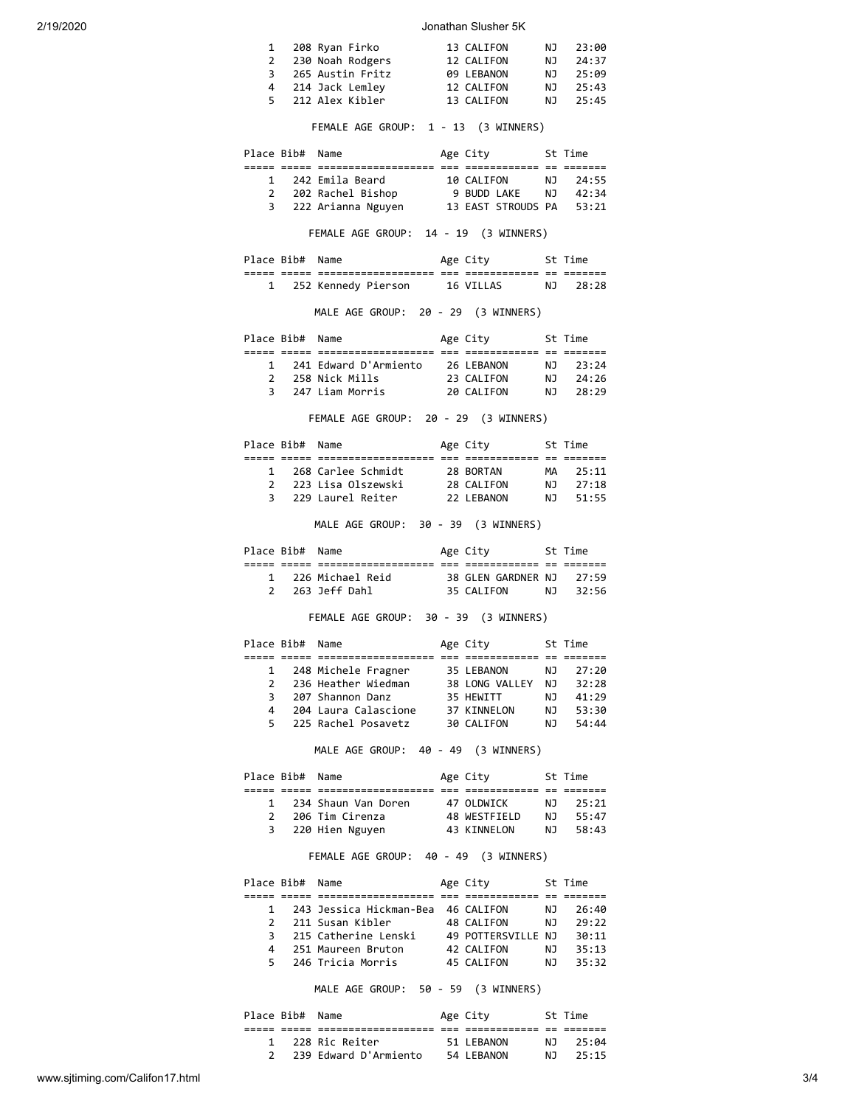#### 2/19/2020 Jonathan Slusher 5K

| 1 208 Ryan Firko   | 13 CALIFON |     | NJ 23:00 |
|--------------------|------------|-----|----------|
| 2 230 Noah Rodgers | 12 CALIFON | N J | 24:37    |
| 3 265 Austin Fritz | 09 LEBANON | N J | 25:09    |
| 4 214 Jack Lemley  | 12 CALIFON | N J | 25:43    |
| 5 212 Alex Kibler  | 13 CALIFON | NJ. | 25:45    |

FEMALE AGE GROUP: 1 - 13 (3 WINNERS)

|   | Place Bib# Name |                                       | Age City           |     | St Time |
|---|-----------------|---------------------------------------|--------------------|-----|---------|
|   |                 |                                       |                    |     |         |
| 1 |                 | 242 Emila Beard                       | 10 CALIFON         | NJ. | 24:55   |
|   |                 | 2 202 Rachel Bishop                   | 9 BUDD LAKE        | N J | 42:34   |
|   |                 | 3 222 Arianna Nguyen                  | 13 EAST STROUDS PA |     | 53:21   |
|   |                 | FEMALE AGE GROUP: 14 - 19 (3 WINNERS) |                    |     |         |

Place Bib# Name Mage City St Time ===== ===== =================== === ============ == ======= 1 252 Kennedy Pierson 16 VILLAS NJ 28:28

MALE AGE GROUP: 20 - 29 (3 WINNERS)

|                | Place Bib# Name |                       | Age City   |     | St Time |
|----------------|-----------------|-----------------------|------------|-----|---------|
|                |                 |                       |            |     |         |
| $\mathbf{1}$   |                 | 241 Edward D'Armiento | 26 LEBANON | NJ. | -23:24  |
| $\overline{2}$ |                 | 258 Nick Mills        | 23 CALIFON | NJ. | 24:26   |
| 3              |                 | 247 Liam Morris       | 20 CALIFON | NJ. | 28.29   |

FEMALE AGE GROUP: 20 - 29 (3 WINNERS)

|               | Place Bib# Name |                    | Age City   |     | St Time |  |
|---------------|-----------------|--------------------|------------|-----|---------|--|
|               |                 |                    |            |     |         |  |
| 1             |                 | 268 Carlee Schmidt | 28 BORTAN  | MA  | 25:11   |  |
| $\mathcal{P}$ |                 | 223 Lisa Olszewski | 28 CALIFON | NJ. | 27:18   |  |
| 3             |                 | 229 Laurel Reiter  | 22 LEBANON | NJ. | 51:55   |  |
|               |                 |                    |            |     |         |  |

MALE AGE GROUP: 30 - 39 (3 WINNERS)

|  | Place Bib# Name |                    | Age City                 |     | St Time |  |
|--|-----------------|--------------------|--------------------------|-----|---------|--|
|  |                 |                    |                          |     |         |  |
|  |                 | 1 226 Michael Reid | 38 GLEN GARDNER NJ 27:59 |     |         |  |
|  |                 | 263 Jeff Dahl      | 35 CALTEON               | N T | 32:56   |  |

FEMALE AGE GROUP: 30 - 39 (3 WINNERS)

|                | Place Bib# Name |                      | Age City       |     | St Time |  |
|----------------|-----------------|----------------------|----------------|-----|---------|--|
|                |                 |                      |                |     |         |  |
| $\mathbf{1}$   |                 | 248 Michele Fragner  | 35 LEBANON     | NJ. | 27:20   |  |
| $\overline{2}$ |                 | 236 Heather Wiedman  | 38 LONG VALLEY | NJ. | 32:28   |  |
| 3              |                 | 207 Shannon Danz     | 35 HEWITT      | NJ  | 41:29   |  |
| 4              |                 | 204 Laura Calascione | 37 KINNELON    | NJ. | 53:30   |  |
| 5.             |                 | 225 Rachel Posavetz  | 30 CALIFON     | NJ. | 54:44   |  |
|                |                 |                      |                |     |         |  |

MALE AGE GROUP: 40 - 49 (3 WINNERS)

|               | Place Bib# Name |                     | Age City     |     | St Time |
|---------------|-----------------|---------------------|--------------|-----|---------|
|               |                 |                     |              |     |         |
| $\mathbf{1}$  |                 | 234 Shaun Van Doren | 47 OLDWICK   | NJ. | 25:21   |
| $\mathcal{P}$ |                 | 206 Tim Cirenza     | 48 WESTFIELD | NJ. | 55:47   |
| 3             |                 | 220 Hien Nguyen     | 43 KINNELON  | NJ. | 58:43   |

# FEMALE AGE GROUP: 40 - 49 (3 WINNERS)

|                | Place Bib# Name |                                    | Age City           |     | St Time |  |
|----------------|-----------------|------------------------------------|--------------------|-----|---------|--|
|                |                 |                                    |                    |     |         |  |
| 1              |                 | 243 Jessica Hickman-Bea 46 CALIFON |                    | NJ. | 26:40   |  |
| $\mathcal{P}$  |                 | 211 Susan Kibler                   | 48 CALIFON         | N J | 29:22   |  |
| 3              |                 | 215 Catherine Lenski               | 49 POTTERSVILLE NJ |     | 30:11   |  |
| $\overline{a}$ |                 | 251 Maureen Bruton                 | 42 CALIFON         | NJ. | 35:13   |  |
| 5.             |                 | 246 Tricia Morris                  | 45 CALIFON         | N J | 35:32   |  |

MALE AGE GROUP: 50 - 59 (3 WINNERS)

| Place Bib# Name |                       | Age City   |     | St Time |
|-----------------|-----------------------|------------|-----|---------|
|                 |                       |            |     |         |
|                 | 1 228 Ric Reiter      | 51 LEBANON | NJ. | 25:04   |
|                 | 239 Edward D'Armiento | 54 LEBANON | N J | 25:15   |
|                 |                       |            |     |         |